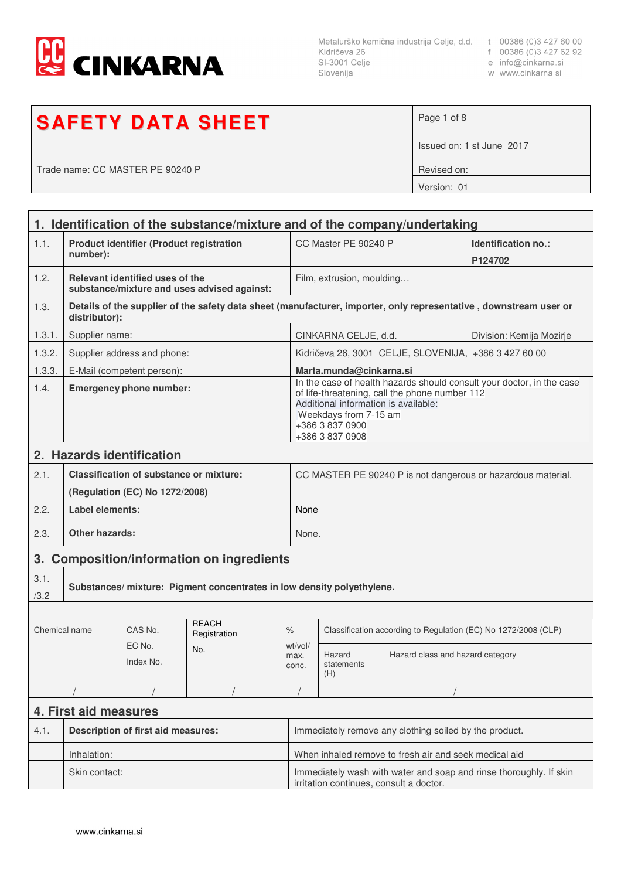

Metalurško kemična industrija Celje, d.d. t 00386 (0)3 427 60 00<br>Kidričeva 26 f 00386 (0)3 427 62 92<br>SI-3001 Celje e info@cinkarna.si<br>Slovenija w www.cinkarna.si Slovenija

- 
- 
- w www.cinkarna.si

| <b>SAFETY DATA SHEET</b>         | Page 1 of 8               |
|----------------------------------|---------------------------|
|                                  | Issued on: 1 st June 2017 |
| Trade name: CC MASTER PE 90240 P | Revised on:               |
|                                  | Version: 01               |

|                            | 1. Identification of the substance/mixture and of the company/undertaking |                                                |                                             |                                                                                                                                                                                                                                |                                                                |                                                       |                                                                                                                   |
|----------------------------|---------------------------------------------------------------------------|------------------------------------------------|---------------------------------------------|--------------------------------------------------------------------------------------------------------------------------------------------------------------------------------------------------------------------------------|----------------------------------------------------------------|-------------------------------------------------------|-------------------------------------------------------------------------------------------------------------------|
| 1.1.                       | <b>Product identifier (Product registration</b><br>number):               |                                                |                                             |                                                                                                                                                                                                                                | CC Master PE 90240 P                                           | Identification no.:<br>P124702                        |                                                                                                                   |
| 1.2.                       |                                                                           | Relevant identified uses of the                | substance/mixture and uses advised against: |                                                                                                                                                                                                                                | Film, extrusion, moulding                                      |                                                       |                                                                                                                   |
| 1.3.                       | distributor):                                                             |                                                |                                             |                                                                                                                                                                                                                                |                                                                |                                                       | Details of the supplier of the safety data sheet (manufacturer, importer, only representative, downstream user or |
| 1.3.1.                     | Supplier name:                                                            |                                                |                                             |                                                                                                                                                                                                                                | CINKARNA CELJE, d.d.<br>Division: Kemija Mozirje               |                                                       |                                                                                                                   |
| 1.3.2.                     |                                                                           | Supplier address and phone:                    |                                             |                                                                                                                                                                                                                                |                                                                | Kidričeva 26, 3001 CELJE, SLOVENIJA, +386 3 427 60 00 |                                                                                                                   |
| 1.3.3.                     |                                                                           | E-Mail (competent person):                     |                                             |                                                                                                                                                                                                                                | Marta.munda@cinkarna.si                                        |                                                       |                                                                                                                   |
| 1.4.                       | <b>Emergency phone number:</b>                                            |                                                |                                             | In the case of health hazards should consult your doctor, in the case<br>of life-threatening, call the phone number 112<br>Additional information is available:<br>Weekdays from 7-15 am<br>+386 3 837 0900<br>+386 3 837 0908 |                                                                |                                                       |                                                                                                                   |
|                            |                                                                           | 2. Hazards identification                      |                                             |                                                                                                                                                                                                                                |                                                                |                                                       |                                                                                                                   |
| 2.1.                       |                                                                           | <b>Classification of substance or mixture:</b> |                                             |                                                                                                                                                                                                                                |                                                                |                                                       | CC MASTER PE 90240 P is not dangerous or hazardous material.                                                      |
|                            |                                                                           | (Regulation (EC) No 1272/2008)                 |                                             |                                                                                                                                                                                                                                |                                                                |                                                       |                                                                                                                   |
| 2.2.                       | Label elements:                                                           |                                                |                                             | None                                                                                                                                                                                                                           |                                                                |                                                       |                                                                                                                   |
| 2.3.                       | Other hazards:                                                            |                                                |                                             |                                                                                                                                                                                                                                | None.                                                          |                                                       |                                                                                                                   |
|                            | 3. Composition/information on ingredients                                 |                                                |                                             |                                                                                                                                                                                                                                |                                                                |                                                       |                                                                                                                   |
| 3.1.<br>/3.2               | Substances/ mixture: Pigment concentrates in low density polyethylene.    |                                                |                                             |                                                                                                                                                                                                                                |                                                                |                                                       |                                                                                                                   |
|                            |                                                                           |                                                |                                             |                                                                                                                                                                                                                                |                                                                |                                                       |                                                                                                                   |
| Chemical name              |                                                                           | CAS No.                                        | <b>REACH</b><br>Registration                | $\%$                                                                                                                                                                                                                           | Classification according to Regulation (EC) No 1272/2008 (CLP) |                                                       |                                                                                                                   |
| EC No.<br>No.<br>Index No. |                                                                           | wt/vol/<br>max.<br>conc.                       | Hazard<br>statements<br>(H)                 | Hazard class and hazard category                                                                                                                                                                                               |                                                                |                                                       |                                                                                                                   |
|                            |                                                                           |                                                |                                             |                                                                                                                                                                                                                                |                                                                |                                                       |                                                                                                                   |
|                            | 4. First aid measures                                                     |                                                |                                             |                                                                                                                                                                                                                                |                                                                |                                                       |                                                                                                                   |
| 4.1.                       | <b>Description of first aid measures:</b>                                 |                                                |                                             | Immediately remove any clothing soiled by the product.                                                                                                                                                                         |                                                                |                                                       |                                                                                                                   |
|                            | Inhalation:                                                               |                                                |                                             |                                                                                                                                                                                                                                | When inhaled remove to fresh air and seek medical aid          |                                                       |                                                                                                                   |
|                            | Skin contact:                                                             |                                                |                                             | Immediately wash with water and soap and rinse thoroughly. If skin<br>irritation continues, consult a doctor.                                                                                                                  |                                                                |                                                       |                                                                                                                   |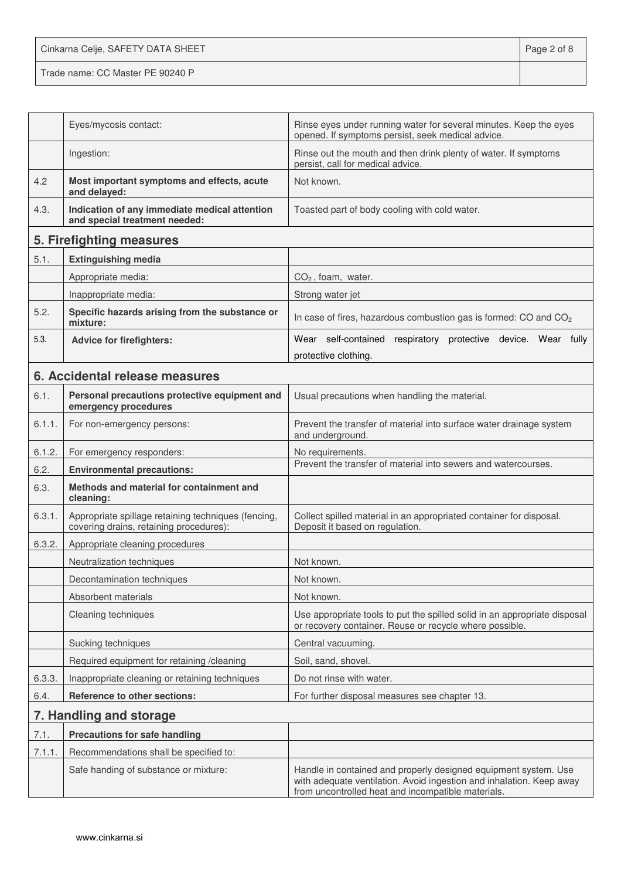Cinkarna Celje, SAFETY DATA SHEET **Page 2 of 8** Trade name: CC Master PE 90240 P

|        | Eyes/mycosis contact:                                                                          | Rinse eyes under running water for several minutes. Keep the eyes<br>opened. If symptoms persist, seek medical advice.                                                                        |
|--------|------------------------------------------------------------------------------------------------|-----------------------------------------------------------------------------------------------------------------------------------------------------------------------------------------------|
|        | Ingestion:                                                                                     | Rinse out the mouth and then drink plenty of water. If symptoms<br>persist, call for medical advice.                                                                                          |
| 4.2    | Most important symptoms and effects, acute<br>and delayed:                                     | Not known.                                                                                                                                                                                    |
| 4.3.   | Indication of any immediate medical attention<br>and special treatment needed:                 | Toasted part of body cooling with cold water.                                                                                                                                                 |
|        | 5. Firefighting measures                                                                       |                                                                                                                                                                                               |
| 5.1.   | <b>Extinguishing media</b>                                                                     |                                                                                                                                                                                               |
|        | Appropriate media:                                                                             | $CO2$ , foam, water.                                                                                                                                                                          |
|        | Inappropriate media:                                                                           | Strong water jet                                                                                                                                                                              |
| 5.2.   | Specific hazards arising from the substance or<br>mixture:                                     | In case of fires, hazardous combustion gas is formed: CO and CO <sub>2</sub>                                                                                                                  |
| 5.3.   | <b>Advice for firefighters:</b>                                                                | Wear self-contained respiratory protective device. Wear fully                                                                                                                                 |
|        |                                                                                                | protective clothing.                                                                                                                                                                          |
|        | 6. Accidental release measures                                                                 |                                                                                                                                                                                               |
| 6.1.   | Personal precautions protective equipment and<br>emergency procedures                          | Usual precautions when handling the material.                                                                                                                                                 |
| 6.1.1. | For non-emergency persons:                                                                     | Prevent the transfer of material into surface water drainage system<br>and underground.                                                                                                       |
| 6.1.2. | For emergency responders:                                                                      | No requirements.                                                                                                                                                                              |
| 6.2.   | <b>Environmental precautions:</b>                                                              | Prevent the transfer of material into sewers and watercourses.                                                                                                                                |
| 6.3.   | Methods and material for containment and<br>cleaning:                                          |                                                                                                                                                                                               |
| 6.3.1. | Appropriate spillage retaining techniques (fencing,<br>covering drains, retaining procedures): | Collect spilled material in an appropriated container for disposal.<br>Deposit it based on regulation.                                                                                        |
| 6.3.2. | Appropriate cleaning procedures                                                                |                                                                                                                                                                                               |
|        | Neutralization techniques                                                                      | Not known.                                                                                                                                                                                    |
|        | Decontamination techniques                                                                     | Not known.                                                                                                                                                                                    |
|        | Absorbent materials                                                                            | Not known.                                                                                                                                                                                    |
|        | Cleaning techniques                                                                            | Use appropriate tools to put the spilled solid in an appropriate disposal<br>or recovery container. Reuse or recycle where possible.                                                          |
|        | Sucking techniques                                                                             | Central vacuuming.                                                                                                                                                                            |
|        | Required equipment for retaining /cleaning                                                     | Soil, sand, shovel.                                                                                                                                                                           |
| 6.3.3. | Inappropriate cleaning or retaining techniques                                                 | Do not rinse with water.                                                                                                                                                                      |
| 6.4.   | Reference to other sections:                                                                   | For further disposal measures see chapter 13.                                                                                                                                                 |
|        | 7. Handling and storage                                                                        |                                                                                                                                                                                               |
| 7.1.   | <b>Precautions for safe handling</b>                                                           |                                                                                                                                                                                               |
| 7.1.1. | Recommendations shall be specified to:                                                         |                                                                                                                                                                                               |
|        | Safe handing of substance or mixture:                                                          | Handle in contained and properly designed equipment system. Use<br>with adequate ventilation. Avoid ingestion and inhalation. Keep away<br>from uncontrolled heat and incompatible materials. |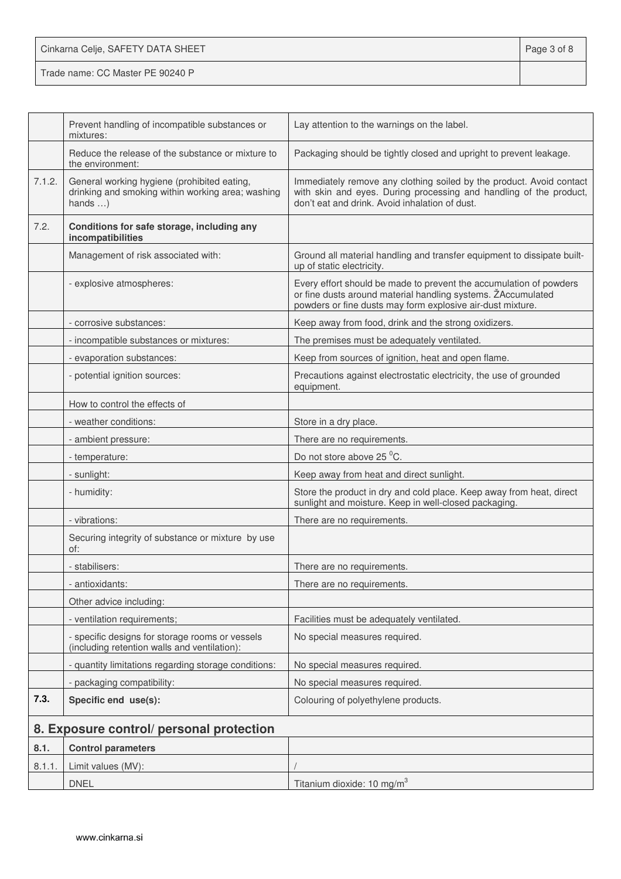| Cinkarna Celje, SAFETY DATA SHEET | Page 3 of 8 |
|-----------------------------------|-------------|
| Trade name: CC Master PE 90240 P  |             |

|        | Prevent handling of incompatible substances or<br>mixtures:                                                          | Lay attention to the warnings on the label.                                                                                                                                                      |
|--------|----------------------------------------------------------------------------------------------------------------------|--------------------------------------------------------------------------------------------------------------------------------------------------------------------------------------------------|
|        | Reduce the release of the substance or mixture to<br>the environment:                                                | Packaging should be tightly closed and upright to prevent leakage.                                                                                                                               |
| 7.1.2. | General working hygiene (prohibited eating,<br>drinking and smoking within working area; washing<br>hands $\ldots$ ) | Immediately remove any clothing soiled by the product. Avoid contact<br>with skin and eyes. During processing and handling of the product,<br>don't eat and drink. Avoid inhalation of dust.     |
| 7.2.   | Conditions for safe storage, including any<br>incompatibilities                                                      |                                                                                                                                                                                                  |
|        | Management of risk associated with:                                                                                  | Ground all material handling and transfer equipment to dissipate built-<br>up of static electricity.                                                                                             |
|        | - explosive atmospheres:                                                                                             | Every effort should be made to prevent the accumulation of powders<br>or fine dusts around material handling systems. ŽAccumulated<br>powders or fine dusts may form explosive air-dust mixture. |
|        | - corrosive substances:                                                                                              | Keep away from food, drink and the strong oxidizers.                                                                                                                                             |
|        | - incompatible substances or mixtures:                                                                               | The premises must be adequately ventilated.                                                                                                                                                      |
|        | - evaporation substances:                                                                                            | Keep from sources of ignition, heat and open flame.                                                                                                                                              |
|        | - potential ignition sources:                                                                                        | Precautions against electrostatic electricity, the use of grounded<br>equipment.                                                                                                                 |
|        | How to control the effects of                                                                                        |                                                                                                                                                                                                  |
|        | - weather conditions:                                                                                                | Store in a dry place.                                                                                                                                                                            |
|        | - ambient pressure:                                                                                                  | There are no requirements.                                                                                                                                                                       |
|        | - temperature:                                                                                                       | Do not store above 25 °C.                                                                                                                                                                        |
|        | - sunlight:                                                                                                          | Keep away from heat and direct sunlight.                                                                                                                                                         |
|        | - humidity:                                                                                                          | Store the product in dry and cold place. Keep away from heat, direct<br>sunlight and moisture. Keep in well-closed packaging.                                                                    |
|        | - vibrations:                                                                                                        | There are no requirements.                                                                                                                                                                       |
|        | Securing integrity of substance or mixture by use<br>of:                                                             |                                                                                                                                                                                                  |
|        | - stabilisers:                                                                                                       | There are no requirements.                                                                                                                                                                       |
|        | - antioxidants:                                                                                                      | There are no requirements.                                                                                                                                                                       |
|        | Other advice including:                                                                                              |                                                                                                                                                                                                  |
|        | - ventilation requirements;                                                                                          | Facilities must be adequately ventilated.                                                                                                                                                        |
|        | - specific designs for storage rooms or vessels<br>(including retention walls and ventilation):                      | No special measures required.                                                                                                                                                                    |
|        | - quantity limitations regarding storage conditions:                                                                 | No special measures required.                                                                                                                                                                    |
|        | - packaging compatibility:                                                                                           | No special measures required.                                                                                                                                                                    |
| 7.3.   | Specific end use(s):                                                                                                 | Colouring of polyethylene products.                                                                                                                                                              |
|        | 8. Exposure control/ personal protection                                                                             |                                                                                                                                                                                                  |
| 8.1.   | <b>Control parameters</b>                                                                                            |                                                                                                                                                                                                  |
| 8.1.1  | Limit values (MV):                                                                                                   |                                                                                                                                                                                                  |
|        | <b>DNEL</b>                                                                                                          | Titanium dioxide: 10 mg/m <sup>3</sup>                                                                                                                                                           |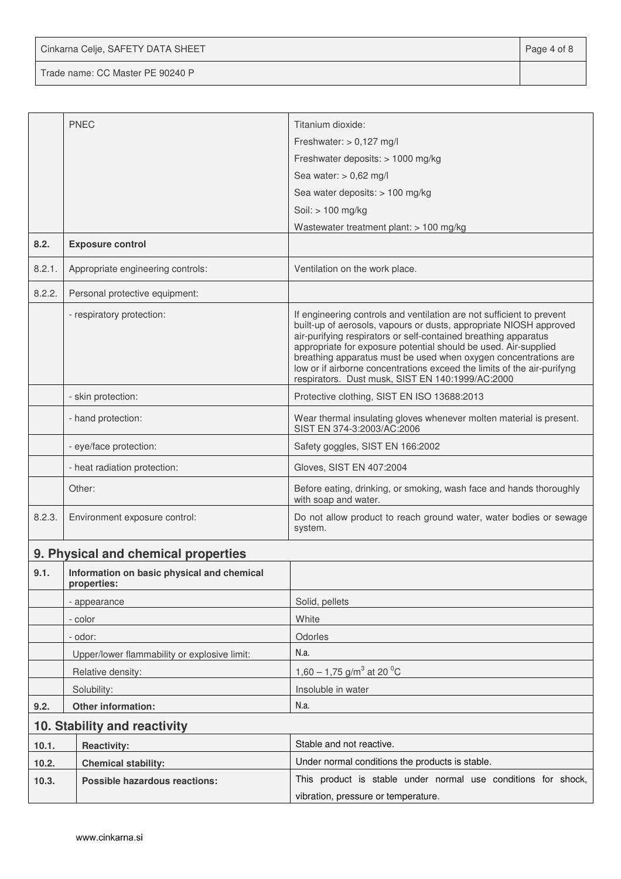Cinkarna Celje, SAFETY DATA SHEET **Page 4 of 8** 

Trade name: CC Master PE 90240 P

|        | <b>PNEC</b>                                               | Titanium dioxide:                                                                                                                                                                                                                                                                                                                                                                                                                                                                   |  |
|--------|-----------------------------------------------------------|-------------------------------------------------------------------------------------------------------------------------------------------------------------------------------------------------------------------------------------------------------------------------------------------------------------------------------------------------------------------------------------------------------------------------------------------------------------------------------------|--|
|        |                                                           | Freshwater: $> 0,127$ mg/l                                                                                                                                                                                                                                                                                                                                                                                                                                                          |  |
|        |                                                           | Freshwater deposits: > 1000 mg/kg                                                                                                                                                                                                                                                                                                                                                                                                                                                   |  |
|        |                                                           | Sea water: $> 0.62$ mg/l                                                                                                                                                                                                                                                                                                                                                                                                                                                            |  |
|        |                                                           | Sea water deposits: > 100 mg/kg                                                                                                                                                                                                                                                                                                                                                                                                                                                     |  |
|        |                                                           | Soil: > 100 mg/kg                                                                                                                                                                                                                                                                                                                                                                                                                                                                   |  |
| 8.2.   | <b>Exposure control</b>                                   | Wastewater treatment plant: > 100 mg/kg                                                                                                                                                                                                                                                                                                                                                                                                                                             |  |
| 8.2.1. | Appropriate engineering controls:                         | Ventilation on the work place.                                                                                                                                                                                                                                                                                                                                                                                                                                                      |  |
| 8.2.2. | Personal protective equipment:                            |                                                                                                                                                                                                                                                                                                                                                                                                                                                                                     |  |
|        | - respiratory protection:                                 | If engineering controls and ventilation are not sufficient to prevent<br>built-up of aerosols, vapours or dusts, appropriate NIOSH approved<br>air-purifying respirators or self-contained breathing apparatus<br>appropriate for exposure potential should be used. Air-supplied<br>breathing apparatus must be used when oxygen concentrations are<br>low or if airborne concentrations exceed the limits of the air-purifyng<br>respirators. Dust musk, SIST EN 140:1999/AC:2000 |  |
|        | - skin protection:                                        | Protective clothing, SIST EN ISO 13688:2013                                                                                                                                                                                                                                                                                                                                                                                                                                         |  |
|        | - hand protection:                                        | Wear thermal insulating gloves whenever molten material is present.<br>SIST EN 374-3:2003/AC:2006                                                                                                                                                                                                                                                                                                                                                                                   |  |
|        | - eye/face protection:                                    | Safety goggles, SIST EN 166:2002                                                                                                                                                                                                                                                                                                                                                                                                                                                    |  |
|        | - heat radiation protection:                              | Gloves, SIST EN 407:2004                                                                                                                                                                                                                                                                                                                                                                                                                                                            |  |
|        | Other:                                                    | Before eating, drinking, or smoking, wash face and hands thoroughly<br>with soap and water.                                                                                                                                                                                                                                                                                                                                                                                         |  |
| 8.2.3. | Environment exposure control:                             | Do not allow product to reach ground water, water bodies or sewage<br>system.                                                                                                                                                                                                                                                                                                                                                                                                       |  |
|        | 9. Physical and chemical properties                       |                                                                                                                                                                                                                                                                                                                                                                                                                                                                                     |  |
| 9.1.   | Information on basic physical and chemical<br>properties: |                                                                                                                                                                                                                                                                                                                                                                                                                                                                                     |  |
|        | - appearance                                              | Solid, pellets                                                                                                                                                                                                                                                                                                                                                                                                                                                                      |  |
|        | - color                                                   | White                                                                                                                                                                                                                                                                                                                                                                                                                                                                               |  |
|        | - odor:                                                   | Odorles                                                                                                                                                                                                                                                                                                                                                                                                                                                                             |  |
|        | Upper/lower flammability or explosive limit:              | N.a.                                                                                                                                                                                                                                                                                                                                                                                                                                                                                |  |
|        | Relative density:                                         | 1,60 – 1,75 g/m <sup>3</sup> at 20 <sup>o</sup> C                                                                                                                                                                                                                                                                                                                                                                                                                                   |  |
|        | Solubility:                                               | Insoluble in water                                                                                                                                                                                                                                                                                                                                                                                                                                                                  |  |
| 9.2.   | Other information:                                        | N.a.                                                                                                                                                                                                                                                                                                                                                                                                                                                                                |  |
|        | 10. Stability and reactivity                              |                                                                                                                                                                                                                                                                                                                                                                                                                                                                                     |  |
| 10.1.  | <b>Reactivity:</b>                                        | Stable and not reactive.                                                                                                                                                                                                                                                                                                                                                                                                                                                            |  |
| 10.2.  | <b>Chemical stability:</b>                                | Under normal conditions the products is stable.                                                                                                                                                                                                                                                                                                                                                                                                                                     |  |
| 10.3.  | <b>Possible hazardous reactions:</b>                      | This product is stable under normal use conditions for shock,                                                                                                                                                                                                                                                                                                                                                                                                                       |  |
|        |                                                           | vibration, pressure or temperature.                                                                                                                                                                                                                                                                                                                                                                                                                                                 |  |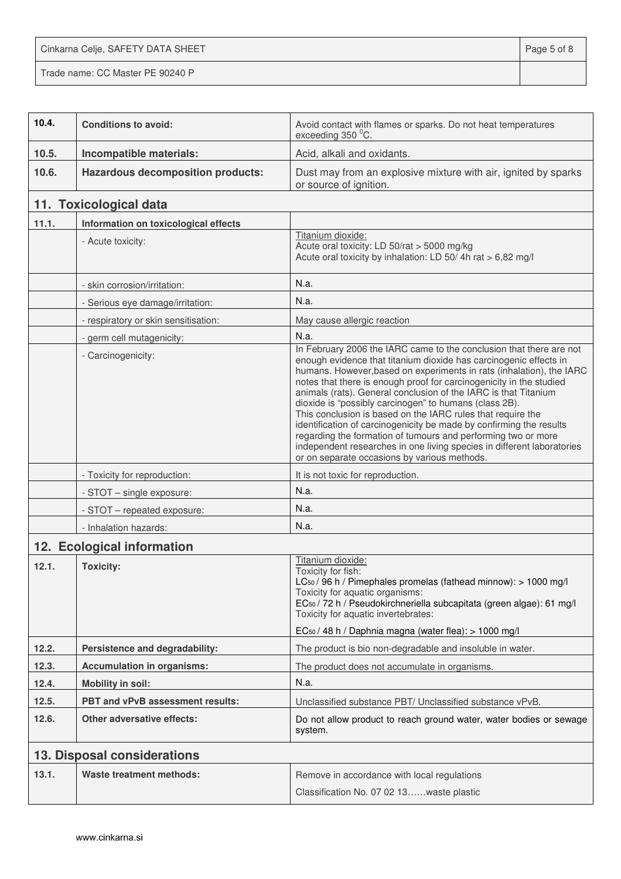Cinkarna Celje, SAFETY DATA SHEET **Page 5 of 8** 

Trade name: CC Master PE 90240 P

| 10.4. | <b>Conditions to avoid:</b>              | Avoid contact with flames or sparks. Do not heat temperatures<br>exceeding 350 °C.                                                                                                                                                                                                                                                                                                                                                                                                                                                                                                                                                                                                                                                                    |
|-------|------------------------------------------|-------------------------------------------------------------------------------------------------------------------------------------------------------------------------------------------------------------------------------------------------------------------------------------------------------------------------------------------------------------------------------------------------------------------------------------------------------------------------------------------------------------------------------------------------------------------------------------------------------------------------------------------------------------------------------------------------------------------------------------------------------|
| 10.5. | Incompatible materials:                  | Acid, alkali and oxidants.                                                                                                                                                                                                                                                                                                                                                                                                                                                                                                                                                                                                                                                                                                                            |
| 10.6. | <b>Hazardous decomposition products:</b> | Dust may from an explosive mixture with air, ignited by sparks<br>or source of ignition.                                                                                                                                                                                                                                                                                                                                                                                                                                                                                                                                                                                                                                                              |
|       | 11. Toxicological data                   |                                                                                                                                                                                                                                                                                                                                                                                                                                                                                                                                                                                                                                                                                                                                                       |
| 11.1. | Information on toxicological effects     |                                                                                                                                                                                                                                                                                                                                                                                                                                                                                                                                                                                                                                                                                                                                                       |
|       | - Acute toxicity:                        | Titanium dioxide:<br>Acute oral toxicity: LD 50/rat > 5000 mg/kg<br>Acute oral toxicity by inhalation: LD 50/4h rat > 6,82 mg/l                                                                                                                                                                                                                                                                                                                                                                                                                                                                                                                                                                                                                       |
|       | - skin corrosion/irritation:             | N.a.                                                                                                                                                                                                                                                                                                                                                                                                                                                                                                                                                                                                                                                                                                                                                  |
|       | - Serious eye damage/irritation:         | N.a.                                                                                                                                                                                                                                                                                                                                                                                                                                                                                                                                                                                                                                                                                                                                                  |
|       | - respiratory or skin sensitisation:     | May cause allergic reaction                                                                                                                                                                                                                                                                                                                                                                                                                                                                                                                                                                                                                                                                                                                           |
|       | - germ cell mutagenicity:                | N.a.                                                                                                                                                                                                                                                                                                                                                                                                                                                                                                                                                                                                                                                                                                                                                  |
|       | - Carcinogenicity:                       | In February 2006 the IARC came to the conclusion that there are not<br>enough evidence that titanium dioxide has carcinogenic effects in<br>humans. However, based on experiments in rats (inhalation), the IARC<br>notes that there is enough proof for carcinogenicity in the studied<br>animals (rats). General conclusion of the IARC is that Titanium<br>dioxide is "possibly carcinogen" to humans (class 2B).<br>This conclusion is based on the IARC rules that require the<br>identification of carcinogenicity be made by confirming the results<br>regarding the formation of tumours and performing two or more<br>independent researches in one living species in different laboratories<br>or on separate occasions by various methods. |
|       | - Toxicity for reproduction:             | It is not toxic for reproduction.                                                                                                                                                                                                                                                                                                                                                                                                                                                                                                                                                                                                                                                                                                                     |
|       | - STOT - single exposure:                | N.a.                                                                                                                                                                                                                                                                                                                                                                                                                                                                                                                                                                                                                                                                                                                                                  |
|       | - STOT - repeated exposure:              | N.a.                                                                                                                                                                                                                                                                                                                                                                                                                                                                                                                                                                                                                                                                                                                                                  |
|       | - Inhalation hazards:                    | N.a.                                                                                                                                                                                                                                                                                                                                                                                                                                                                                                                                                                                                                                                                                                                                                  |
|       | 12. Ecological information               |                                                                                                                                                                                                                                                                                                                                                                                                                                                                                                                                                                                                                                                                                                                                                       |
| 12.1. | <b>Toxicity:</b>                         | Titanium dioxide:<br>Toxicity for fish:<br>LC <sub>50</sub> / 96 h / Pimephales promelas (fathead minnow): > 1000 mg/l<br>Toxicity for aquatic organisms:<br>EC <sub>50</sub> / 72 h / Pseudokirchneriella subcapitata (green algae): 61 mg/l<br>Toxicity for aquatic invertebrates:<br>EC <sub>50</sub> / 48 h / Daphnia magna (water flea): > 1000 mg/l                                                                                                                                                                                                                                                                                                                                                                                             |
| 12.2. | Persistence and degradability:           | The product is bio non-degradable and insoluble in water.                                                                                                                                                                                                                                                                                                                                                                                                                                                                                                                                                                                                                                                                                             |
| 12.3. | <b>Accumulation in organisms:</b>        | The product does not accumulate in organisms.                                                                                                                                                                                                                                                                                                                                                                                                                                                                                                                                                                                                                                                                                                         |
| 12.4. | <b>Mobility in soil:</b>                 | N.a.                                                                                                                                                                                                                                                                                                                                                                                                                                                                                                                                                                                                                                                                                                                                                  |
| 12.5. | PBT and vPvB assessment results:         | Unclassified substance PBT/ Unclassified substance vPvB.                                                                                                                                                                                                                                                                                                                                                                                                                                                                                                                                                                                                                                                                                              |
| 12.6. | <b>Other adversative effects:</b>        | Do not allow product to reach ground water, water bodies or sewage<br>system.                                                                                                                                                                                                                                                                                                                                                                                                                                                                                                                                                                                                                                                                         |
|       | 13. Disposal considerations              |                                                                                                                                                                                                                                                                                                                                                                                                                                                                                                                                                                                                                                                                                                                                                       |
| 13.1. | Waste treatment methods:                 | Remove in accordance with local regulations<br>Classification No. 07 02 13waste plastic                                                                                                                                                                                                                                                                                                                                                                                                                                                                                                                                                                                                                                                               |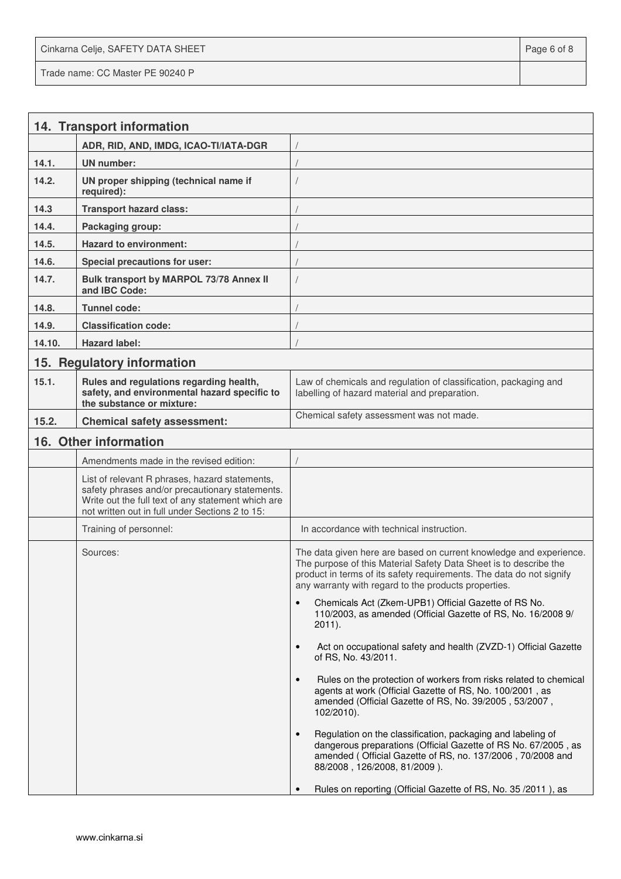Cinkarna Celje, SAFETY DATA SHEET **Page 6 of 8** and 2011 12 and 2012 12 and 2012 12 and 2012 12 and 2012 12 and 201 Trade name: CC Master PE 90240 P

|        | 14. Transport information                                                                                                                                                                                  |                                                                                                                                                                                                                                                                         |  |  |
|--------|------------------------------------------------------------------------------------------------------------------------------------------------------------------------------------------------------------|-------------------------------------------------------------------------------------------------------------------------------------------------------------------------------------------------------------------------------------------------------------------------|--|--|
|        | ADR, RID, AND, IMDG, ICAO-TI/IATA-DGR                                                                                                                                                                      |                                                                                                                                                                                                                                                                         |  |  |
| 14.1.  | <b>UN number:</b>                                                                                                                                                                                          |                                                                                                                                                                                                                                                                         |  |  |
| 14.2.  | UN proper shipping (technical name if<br>required):                                                                                                                                                        |                                                                                                                                                                                                                                                                         |  |  |
| 14.3   | <b>Transport hazard class:</b>                                                                                                                                                                             |                                                                                                                                                                                                                                                                         |  |  |
| 14.4.  | Packaging group:                                                                                                                                                                                           |                                                                                                                                                                                                                                                                         |  |  |
| 14.5.  | <b>Hazard to environment:</b>                                                                                                                                                                              |                                                                                                                                                                                                                                                                         |  |  |
| 14.6.  | Special precautions for user:                                                                                                                                                                              |                                                                                                                                                                                                                                                                         |  |  |
| 14.7.  | Bulk transport by MARPOL 73/78 Annex II<br>and IBC Code:                                                                                                                                                   |                                                                                                                                                                                                                                                                         |  |  |
| 14.8.  | Tunnel code:                                                                                                                                                                                               |                                                                                                                                                                                                                                                                         |  |  |
| 14.9.  | <b>Classification code:</b>                                                                                                                                                                                |                                                                                                                                                                                                                                                                         |  |  |
| 14.10. | <b>Hazard label:</b>                                                                                                                                                                                       |                                                                                                                                                                                                                                                                         |  |  |
|        | 15. Regulatory information                                                                                                                                                                                 |                                                                                                                                                                                                                                                                         |  |  |
| 15.1.  | Rules and regulations regarding health,<br>safety, and environmental hazard specific to<br>the substance or mixture:                                                                                       | Law of chemicals and regulation of classification, packaging and<br>labelling of hazard material and preparation.                                                                                                                                                       |  |  |
| 15.2.  | <b>Chemical safety assessment:</b>                                                                                                                                                                         | Chemical safety assessment was not made.                                                                                                                                                                                                                                |  |  |
|        | 16. Other information                                                                                                                                                                                      |                                                                                                                                                                                                                                                                         |  |  |
|        | Amendments made in the revised edition:                                                                                                                                                                    |                                                                                                                                                                                                                                                                         |  |  |
|        | List of relevant R phrases, hazard statements,<br>safety phrases and/or precautionary statements.<br>Write out the full text of any statement which are<br>not written out in full under Sections 2 to 15: |                                                                                                                                                                                                                                                                         |  |  |
|        | Training of personnel:                                                                                                                                                                                     | In accordance with technical instruction.                                                                                                                                                                                                                               |  |  |
|        | Sources:                                                                                                                                                                                                   | The data given here are based on current knowledge and experience.<br>The purpose of this Material Safety Data Sheet is to describe the<br>product in terms of its safety requirements. The data do not signify<br>any warranty with regard to the products properties. |  |  |
|        |                                                                                                                                                                                                            | Chemicals Act (Zkem-UPB1) Official Gazette of RS No.<br>$\bullet$<br>110/2003, as amended (Official Gazette of RS, No. 16/2008 9/<br>$2011$ ).                                                                                                                          |  |  |
|        |                                                                                                                                                                                                            | Act on occupational safety and health (ZVZD-1) Official Gazette<br>$\bullet$<br>of RS, No. 43/2011.                                                                                                                                                                     |  |  |
|        |                                                                                                                                                                                                            | Rules on the protection of workers from risks related to chemical<br>$\bullet$<br>agents at work (Official Gazette of RS, No. 100/2001, as<br>amended (Official Gazette of RS, No. 39/2005, 53/2007,<br>102/2010).                                                      |  |  |
|        |                                                                                                                                                                                                            | Regulation on the classification, packaging and labeling of<br>$\bullet$<br>dangerous preparations (Official Gazette of RS No. 67/2005, as<br>amended (Official Gazette of RS, no. 137/2006, 70/2008 and<br>88/2008, 126/2008, 81/2009).                                |  |  |
|        |                                                                                                                                                                                                            | Rules on reporting (Official Gazette of RS, No. 35 / 2011), as                                                                                                                                                                                                          |  |  |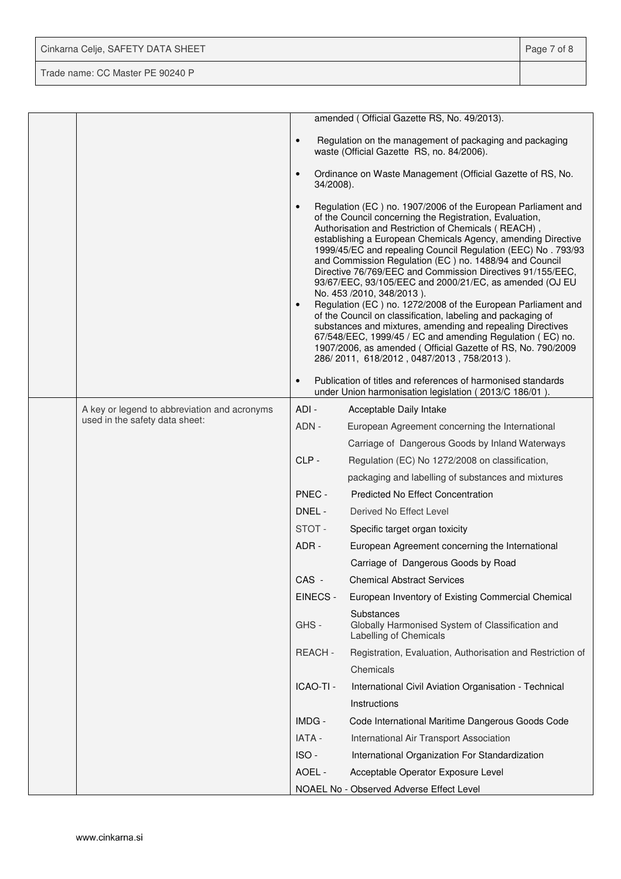| Cinkarna Celje, SAFETY DATA SHEET | Page 7 of 8 |
|-----------------------------------|-------------|
| Trade name: CC Master PE 90240 P  |             |

|  |                                              |                        | amended (Official Gazette RS, No. 49/2013).                                                                                                                                                                                                                                                                                                                                                                                                                                                                                                                                                                                                                                                                                                                                                                                                                                                          |
|--|----------------------------------------------|------------------------|------------------------------------------------------------------------------------------------------------------------------------------------------------------------------------------------------------------------------------------------------------------------------------------------------------------------------------------------------------------------------------------------------------------------------------------------------------------------------------------------------------------------------------------------------------------------------------------------------------------------------------------------------------------------------------------------------------------------------------------------------------------------------------------------------------------------------------------------------------------------------------------------------|
|  |                                              | $\bullet$              | Regulation on the management of packaging and packaging<br>waste (Official Gazette RS, no. 84/2006).                                                                                                                                                                                                                                                                                                                                                                                                                                                                                                                                                                                                                                                                                                                                                                                                 |
|  |                                              | $\bullet$<br>34/2008). | Ordinance on Waste Management (Official Gazette of RS, No.                                                                                                                                                                                                                                                                                                                                                                                                                                                                                                                                                                                                                                                                                                                                                                                                                                           |
|  |                                              | $\bullet$<br>$\bullet$ | Regulation (EC) no. 1907/2006 of the European Parliament and<br>of the Council concerning the Registration, Evaluation,<br>Authorisation and Restriction of Chemicals (REACH),<br>establishing a European Chemicals Agency, amending Directive<br>1999/45/EC and repealing Council Regulation (EEC) No. 793/93<br>and Commission Regulation (EC) no. 1488/94 and Council<br>Directive 76/769/EEC and Commission Directives 91/155/EEC,<br>93/67/EEC, 93/105/EEC and 2000/21/EC, as amended (OJ EU<br>No. 453 /2010, 348/2013).<br>Regulation (EC) no. 1272/2008 of the European Parliament and<br>of the Council on classification, labeling and packaging of<br>substances and mixtures, amending and repealing Directives<br>67/548/EEC, 1999/45 / EC and amending Regulation (EC) no.<br>1907/2006, as amended (Official Gazette of RS, No. 790/2009<br>286/2011, 618/2012, 0487/2013, 758/2013). |
|  |                                              | $\bullet$              | Publication of titles and references of harmonised standards<br>under Union harmonisation legislation (2013/C 186/01).                                                                                                                                                                                                                                                                                                                                                                                                                                                                                                                                                                                                                                                                                                                                                                               |
|  | A key or legend to abbreviation and acronyms | ADI -                  | Acceptable Daily Intake                                                                                                                                                                                                                                                                                                                                                                                                                                                                                                                                                                                                                                                                                                                                                                                                                                                                              |
|  | used in the safety data sheet:               | ADN -                  | European Agreement concerning the International                                                                                                                                                                                                                                                                                                                                                                                                                                                                                                                                                                                                                                                                                                                                                                                                                                                      |
|  |                                              |                        | Carriage of Dangerous Goods by Inland Waterways                                                                                                                                                                                                                                                                                                                                                                                                                                                                                                                                                                                                                                                                                                                                                                                                                                                      |
|  |                                              | CLP-                   | Regulation (EC) No 1272/2008 on classification,                                                                                                                                                                                                                                                                                                                                                                                                                                                                                                                                                                                                                                                                                                                                                                                                                                                      |
|  |                                              |                        | packaging and labelling of substances and mixtures                                                                                                                                                                                                                                                                                                                                                                                                                                                                                                                                                                                                                                                                                                                                                                                                                                                   |
|  |                                              | PNEC -                 | <b>Predicted No Effect Concentration</b>                                                                                                                                                                                                                                                                                                                                                                                                                                                                                                                                                                                                                                                                                                                                                                                                                                                             |
|  |                                              | DNEL -                 | Derived No Effect Level                                                                                                                                                                                                                                                                                                                                                                                                                                                                                                                                                                                                                                                                                                                                                                                                                                                                              |
|  |                                              | STOT-                  | Specific target organ toxicity                                                                                                                                                                                                                                                                                                                                                                                                                                                                                                                                                                                                                                                                                                                                                                                                                                                                       |
|  |                                              | ADR-                   | European Agreement concerning the International                                                                                                                                                                                                                                                                                                                                                                                                                                                                                                                                                                                                                                                                                                                                                                                                                                                      |
|  |                                              |                        | Carriage of Dangerous Goods by Road                                                                                                                                                                                                                                                                                                                                                                                                                                                                                                                                                                                                                                                                                                                                                                                                                                                                  |
|  |                                              | CAS -                  | <b>Chemical Abstract Services</b>                                                                                                                                                                                                                                                                                                                                                                                                                                                                                                                                                                                                                                                                                                                                                                                                                                                                    |
|  |                                              | EINECS -               | European Inventory of Existing Commercial Chemical                                                                                                                                                                                                                                                                                                                                                                                                                                                                                                                                                                                                                                                                                                                                                                                                                                                   |
|  |                                              | GHS-                   | Substances<br>Globally Harmonised System of Classification and<br>Labelling of Chemicals                                                                                                                                                                                                                                                                                                                                                                                                                                                                                                                                                                                                                                                                                                                                                                                                             |
|  |                                              | REACH-                 | Registration, Evaluation, Authorisation and Restriction of                                                                                                                                                                                                                                                                                                                                                                                                                                                                                                                                                                                                                                                                                                                                                                                                                                           |
|  |                                              |                        | Chemicals                                                                                                                                                                                                                                                                                                                                                                                                                                                                                                                                                                                                                                                                                                                                                                                                                                                                                            |
|  |                                              | ICAO-TI -              | International Civil Aviation Organisation - Technical                                                                                                                                                                                                                                                                                                                                                                                                                                                                                                                                                                                                                                                                                                                                                                                                                                                |
|  |                                              |                        | Instructions                                                                                                                                                                                                                                                                                                                                                                                                                                                                                                                                                                                                                                                                                                                                                                                                                                                                                         |
|  |                                              | IMDG -                 | Code International Maritime Dangerous Goods Code                                                                                                                                                                                                                                                                                                                                                                                                                                                                                                                                                                                                                                                                                                                                                                                                                                                     |
|  |                                              | IATA -                 | International Air Transport Association                                                                                                                                                                                                                                                                                                                                                                                                                                                                                                                                                                                                                                                                                                                                                                                                                                                              |
|  |                                              | ISO-                   | International Organization For Standardization                                                                                                                                                                                                                                                                                                                                                                                                                                                                                                                                                                                                                                                                                                                                                                                                                                                       |
|  |                                              | AOEL -                 | Acceptable Operator Exposure Level                                                                                                                                                                                                                                                                                                                                                                                                                                                                                                                                                                                                                                                                                                                                                                                                                                                                   |
|  |                                              |                        | NOAEL No - Observed Adverse Effect Level                                                                                                                                                                                                                                                                                                                                                                                                                                                                                                                                                                                                                                                                                                                                                                                                                                                             |